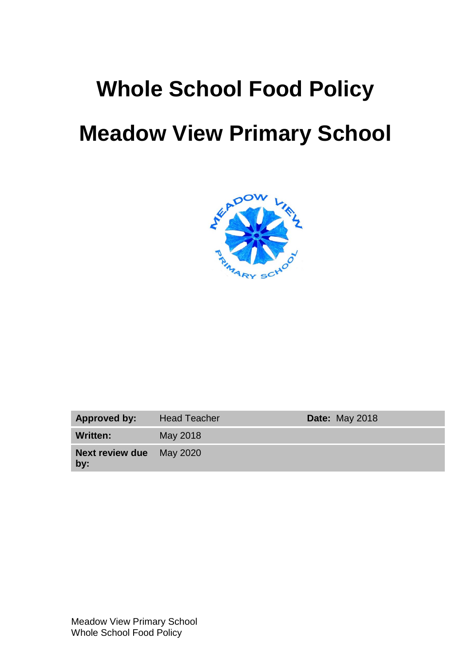# **Whole School Food Policy Meadow View Primary School**



| Approved by:                           | <b>Head Teacher</b> | <b>Date: May 2018</b> |
|----------------------------------------|---------------------|-----------------------|
| Written:                               | May 2018            |                       |
| <b>Next review due</b> May 2020<br>by: |                     |                       |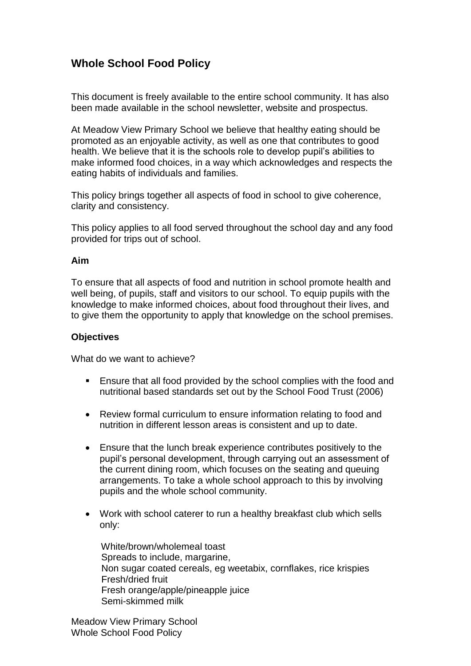# **Whole School Food Policy**

This document is freely available to the entire school community. It has also been made available in the school newsletter, website and prospectus.

At Meadow View Primary School we believe that healthy eating should be promoted as an enjoyable activity, as well as one that contributes to good health. We believe that it is the schools role to develop pupil's abilities to make informed food choices, in a way which acknowledges and respects the eating habits of individuals and families.

This policy brings together all aspects of food in school to give coherence, clarity and consistency.

This policy applies to all food served throughout the school day and any food provided for trips out of school.

#### **Aim**

To ensure that all aspects of food and nutrition in school promote health and well being, of pupils, staff and visitors to our school. To equip pupils with the knowledge to make informed choices, about food throughout their lives, and to give them the opportunity to apply that knowledge on the school premises.

#### **Objectives**

What do we want to achieve?

- **Ensure that all food provided by the school complies with the food and** nutritional based standards set out by the School Food Trust (2006)
- Review formal curriculum to ensure information relating to food and nutrition in different lesson areas is consistent and up to date.
- Ensure that the lunch break experience contributes positively to the pupil's personal development, through carrying out an assessment of the current dining room, which focuses on the seating and queuing arrangements. To take a whole school approach to this by involving pupils and the whole school community.
- Work with school caterer to run a healthy breakfast club which sells only:

 White/brown/wholemeal toast Spreads to include, margarine, Non sugar coated cereals, eg weetabix, cornflakes, rice krispies Fresh/dried fruit Fresh orange/apple/pineapple juice Semi-skimmed milk

Meadow View Primary School Whole School Food Policy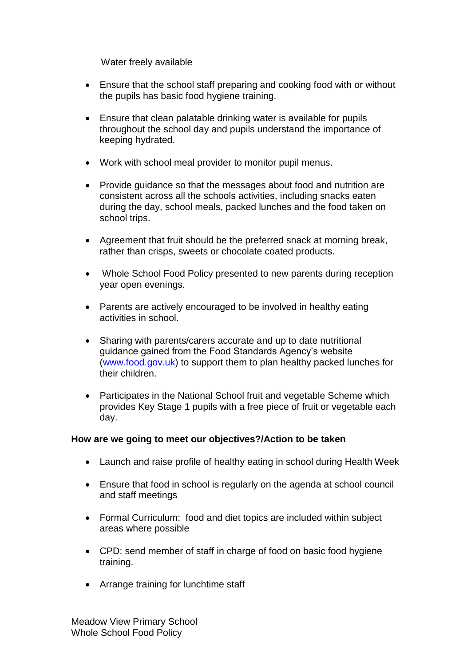Water freely available

- Ensure that the school staff preparing and cooking food with or without the pupils has basic food hygiene training.
- Ensure that clean palatable drinking water is available for pupils throughout the school day and pupils understand the importance of keeping hydrated.
- Work with school meal provider to monitor pupil menus.
- Provide guidance so that the messages about food and nutrition are consistent across all the schools activities, including snacks eaten during the day, school meals, packed lunches and the food taken on school trips.
- Agreement that fruit should be the preferred snack at morning break, rather than crisps, sweets or chocolate coated products.
- Whole School Food Policy presented to new parents during reception year open evenings.
- Parents are actively encouraged to be involved in healthy eating activities in school.
- Sharing with parents/carers accurate and up to date nutritional guidance gained from the Food Standards Agency's website [\(www.food.gov.uk\)](http://www.food.gov.uk/) to support them to plan healthy packed lunches for their children.
- Participates in the National School fruit and vegetable Scheme which provides Key Stage 1 pupils with a free piece of fruit or vegetable each day.

# **How are we going to meet our objectives?/Action to be taken**

- Launch and raise profile of healthy eating in school during Health Week
- Ensure that food in school is regularly on the agenda at school council and staff meetings
- Formal Curriculum: food and diet topics are included within subject areas where possible
- CPD: send member of staff in charge of food on basic food hygiene training.
- Arrange training for lunchtime staff

Meadow View Primary School Whole School Food Policy